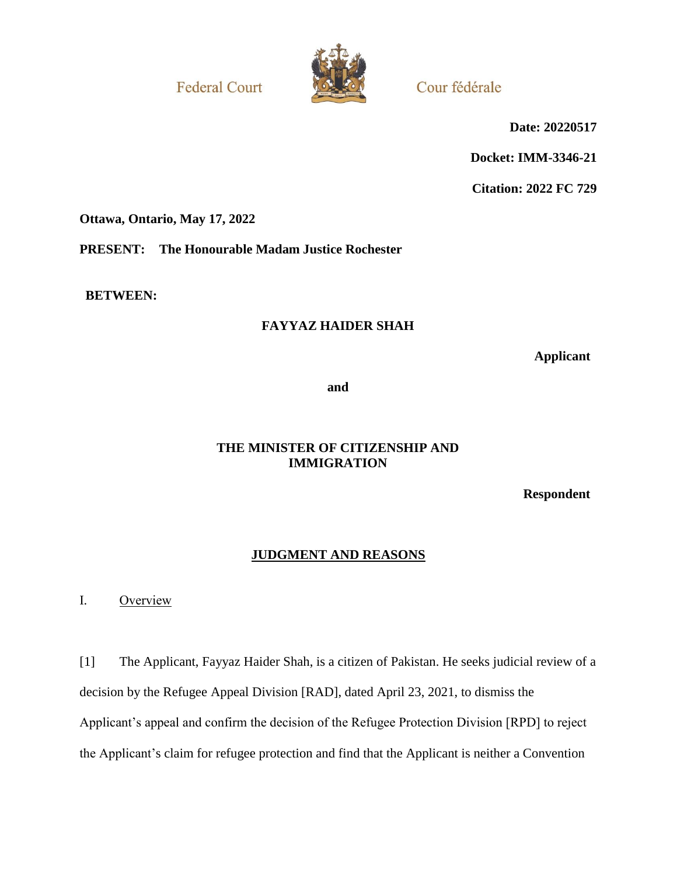**Federal Court** 



Cour fédérale

**Date: 20220517**

**Docket: IMM-3346-21**

**Citation: 2022 FC 729**

**Ottawa, Ontario, May 17, 2022**

**PRESENT: The Honourable Madam Justice Rochester**

**BETWEEN:**

# **FAYYAZ HAIDER SHAH**

**Applicant**

**and**

# **THE MINISTER OF CITIZENSHIP AND IMMIGRATION**

**Respondent**

## **JUDGMENT AND REASONS**

I. Overview

[1] The Applicant, Fayyaz Haider Shah, is a citizen of Pakistan. He seeks judicial review of a decision by the Refugee Appeal Division [RAD], dated April 23, 2021, to dismiss the Applicant's appeal and confirm the decision of the Refugee Protection Division [RPD] to reject the Applicant's claim for refugee protection and find that the Applicant is neither a Convention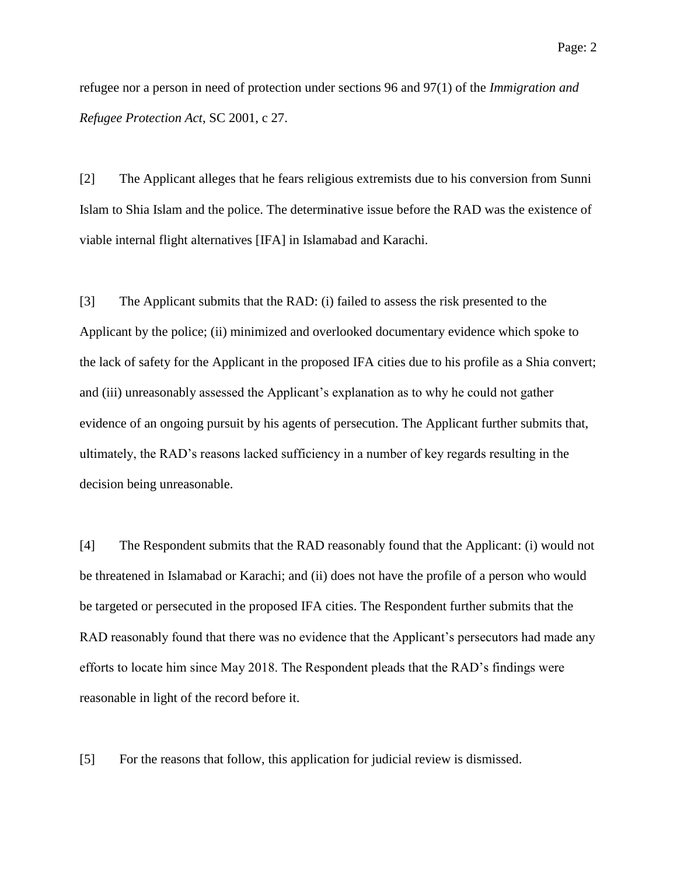refugee nor a person in need of protection under sections 96 and 97(1) of the *Immigration and Refugee Protection Act*, SC 2001, c 27.

[2] The Applicant alleges that he fears religious extremists due to his conversion from Sunni Islam to Shia Islam and the police. The determinative issue before the RAD was the existence of viable internal flight alternatives [IFA] in Islamabad and Karachi.

[3] The Applicant submits that the RAD: (i) failed to assess the risk presented to the Applicant by the police; (ii) minimized and overlooked documentary evidence which spoke to the lack of safety for the Applicant in the proposed IFA cities due to his profile as a Shia convert; and (iii) unreasonably assessed the Applicant's explanation as to why he could not gather evidence of an ongoing pursuit by his agents of persecution. The Applicant further submits that, ultimately, the RAD's reasons lacked sufficiency in a number of key regards resulting in the decision being unreasonable.

[4] The Respondent submits that the RAD reasonably found that the Applicant: (i) would not be threatened in Islamabad or Karachi; and (ii) does not have the profile of a person who would be targeted or persecuted in the proposed IFA cities. The Respondent further submits that the RAD reasonably found that there was no evidence that the Applicant's persecutors had made any efforts to locate him since May 2018. The Respondent pleads that the RAD's findings were reasonable in light of the record before it.

[5] For the reasons that follow, this application for judicial review is dismissed.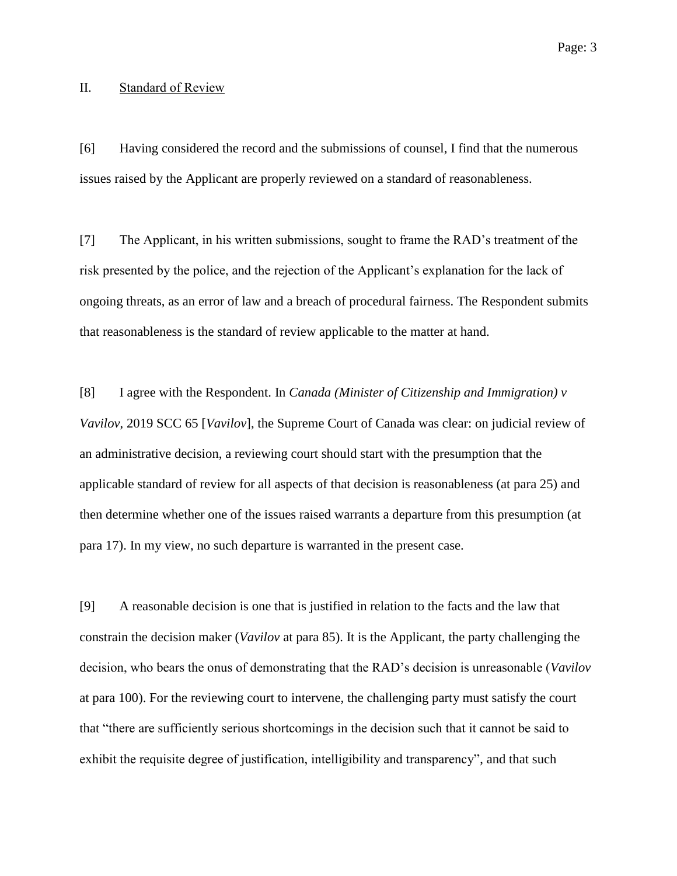#### II. Standard of Review

[6] Having considered the record and the submissions of counsel, I find that the numerous issues raised by the Applicant are properly reviewed on a standard of reasonableness.

[7] The Applicant, in his written submissions, sought to frame the RAD's treatment of the risk presented by the police, and the rejection of the Applicant's explanation for the lack of ongoing threats, as an error of law and a breach of procedural fairness. The Respondent submits that reasonableness is the standard of review applicable to the matter at hand.

[8] I agree with the Respondent. In *Canada (Minister of Citizenship and Immigration) v Vavilov*, 2019 SCC 65 [*Vavilov*], the Supreme Court of Canada was clear: on judicial review of an administrative decision, a reviewing court should start with the presumption that the applicable standard of review for all aspects of that decision is reasonableness (at para 25) and then determine whether one of the issues raised warrants a departure from this presumption (at para 17). In my view, no such departure is warranted in the present case.

[9] A reasonable decision is one that is justified in relation to the facts and the law that constrain the decision maker (*Vavilov* at para 85). It is the Applicant, the party challenging the decision, who bears the onus of demonstrating that the RAD's decision is unreasonable (*Vavilov* at para 100). For the reviewing court to intervene, the challenging party must satisfy the court that "there are sufficiently serious shortcomings in the decision such that it cannot be said to exhibit the requisite degree of justification, intelligibility and transparency", and that such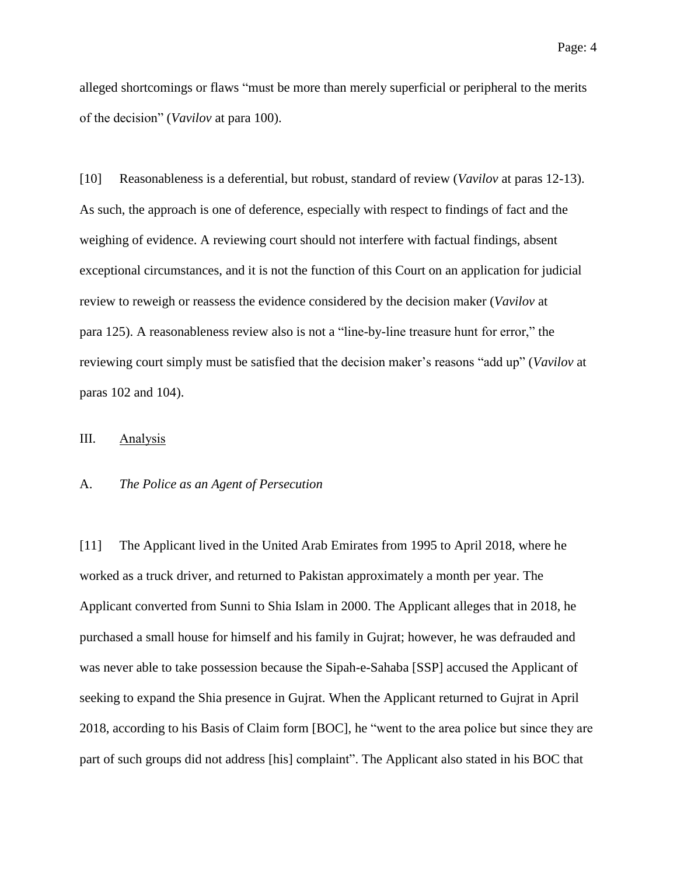alleged shortcomings or flaws "must be more than merely superficial or peripheral to the merits of the decision" (*Vavilov* at para 100).

[10] Reasonableness is a deferential, but robust, standard of review (*Vavilov* at paras 12-13). As such, the approach is one of deference, especially with respect to findings of fact and the weighing of evidence. A reviewing court should not interfere with factual findings, absent exceptional circumstances, and it is not the function of this Court on an application for judicial review to reweigh or reassess the evidence considered by the decision maker (*Vavilov* at para 125). A reasonableness review also is not a "line-by-line treasure hunt for error," the reviewing court simply must be satisfied that the decision maker's reasons "add up" (*Vavilov* at paras 102 and 104).

### III. Analysis

#### A. *The Police as an Agent of Persecution*

[11] The Applicant lived in the United Arab Emirates from 1995 to April 2018, where he worked as a truck driver, and returned to Pakistan approximately a month per year. The Applicant converted from Sunni to Shia Islam in 2000. The Applicant alleges that in 2018, he purchased a small house for himself and his family in Gujrat; however, he was defrauded and was never able to take possession because the Sipah-e-Sahaba [SSP] accused the Applicant of seeking to expand the Shia presence in Gujrat. When the Applicant returned to Gujrat in April 2018, according to his Basis of Claim form [BOC], he "went to the area police but since they are part of such groups did not address [his] complaint". The Applicant also stated in his BOC that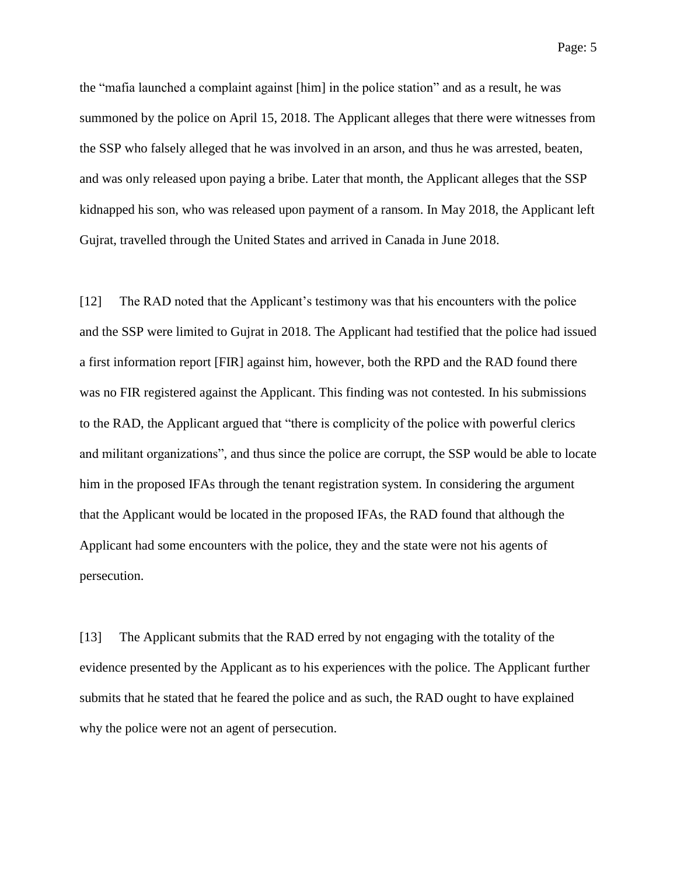the "mafia launched a complaint against [him] in the police station" and as a result, he was summoned by the police on April 15, 2018. The Applicant alleges that there were witnesses from the SSP who falsely alleged that he was involved in an arson, and thus he was arrested, beaten, and was only released upon paying a bribe. Later that month, the Applicant alleges that the SSP kidnapped his son, who was released upon payment of a ransom. In May 2018, the Applicant left Gujrat, travelled through the United States and arrived in Canada in June 2018.

[12] The RAD noted that the Applicant's testimony was that his encounters with the police and the SSP were limited to Gujrat in 2018. The Applicant had testified that the police had issued a first information report [FIR] against him, however, both the RPD and the RAD found there was no FIR registered against the Applicant. This finding was not contested. In his submissions to the RAD, the Applicant argued that "there is complicity of the police with powerful clerics and militant organizations", and thus since the police are corrupt, the SSP would be able to locate him in the proposed IFAs through the tenant registration system. In considering the argument that the Applicant would be located in the proposed IFAs, the RAD found that although the Applicant had some encounters with the police, they and the state were not his agents of persecution.

[13] The Applicant submits that the RAD erred by not engaging with the totality of the evidence presented by the Applicant as to his experiences with the police. The Applicant further submits that he stated that he feared the police and as such, the RAD ought to have explained why the police were not an agent of persecution.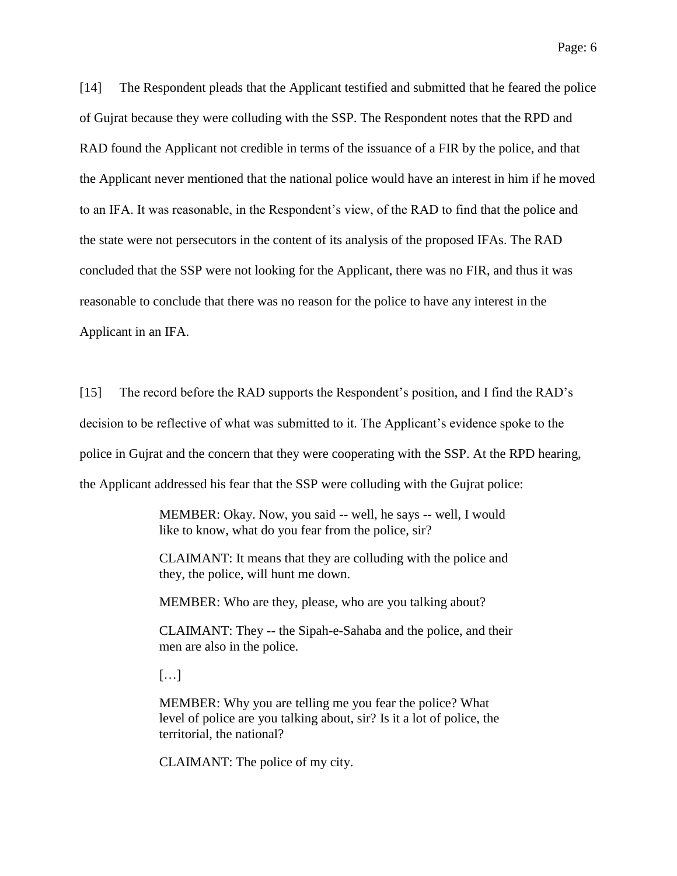[14] The Respondent pleads that the Applicant testified and submitted that he feared the police of Gujrat because they were colluding with the SSP. The Respondent notes that the RPD and RAD found the Applicant not credible in terms of the issuance of a FIR by the police, and that the Applicant never mentioned that the national police would have an interest in him if he moved to an IFA. It was reasonable, in the Respondent's view, of the RAD to find that the police and the state were not persecutors in the content of its analysis of the proposed IFAs. The RAD concluded that the SSP were not looking for the Applicant, there was no FIR, and thus it was reasonable to conclude that there was no reason for the police to have any interest in the Applicant in an IFA.

[15] The record before the RAD supports the Respondent's position, and I find the RAD's decision to be reflective of what was submitted to it. The Applicant's evidence spoke to the police in Gujrat and the concern that they were cooperating with the SSP. At the RPD hearing, the Applicant addressed his fear that the SSP were colluding with the Gujrat police:

> MEMBER: Okay. Now, you said -- well, he says -- well, I would like to know, what do you fear from the police, sir?

> CLAIMANT: It means that they are colluding with the police and they, the police, will hunt me down.

MEMBER: Who are they, please, who are you talking about?

CLAIMANT: They -- the Sipah-e-Sahaba and the police, and their men are also in the police.

[…]

MEMBER: Why you are telling me you fear the police? What level of police are you talking about, sir? Is it a lot of police, the territorial, the national?

CLAIMANT: The police of my city.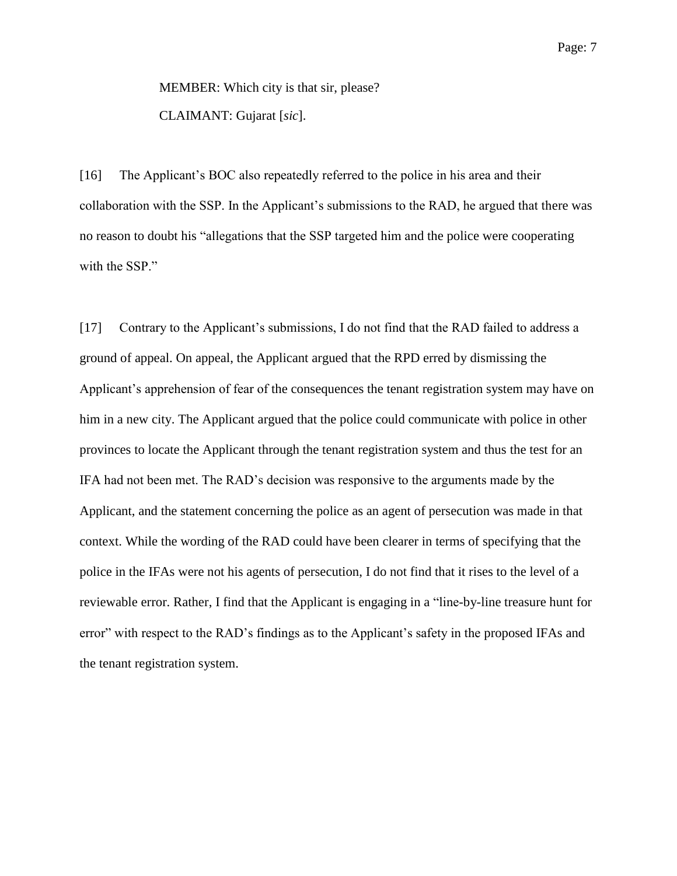MEMBER: Which city is that sir, please? CLAIMANT: Gujarat [*sic*].

[16] The Applicant's BOC also repeatedly referred to the police in his area and their collaboration with the SSP. In the Applicant's submissions to the RAD, he argued that there was no reason to doubt his "allegations that the SSP targeted him and the police were cooperating with the SSP."

[17] Contrary to the Applicant's submissions, I do not find that the RAD failed to address a ground of appeal. On appeal, the Applicant argued that the RPD erred by dismissing the Applicant's apprehension of fear of the consequences the tenant registration system may have on him in a new city. The Applicant argued that the police could communicate with police in other provinces to locate the Applicant through the tenant registration system and thus the test for an IFA had not been met. The RAD's decision was responsive to the arguments made by the Applicant, and the statement concerning the police as an agent of persecution was made in that context. While the wording of the RAD could have been clearer in terms of specifying that the police in the IFAs were not his agents of persecution, I do not find that it rises to the level of a reviewable error. Rather, I find that the Applicant is engaging in a "line-by-line treasure hunt for error" with respect to the RAD's findings as to the Applicant's safety in the proposed IFAs and the tenant registration system.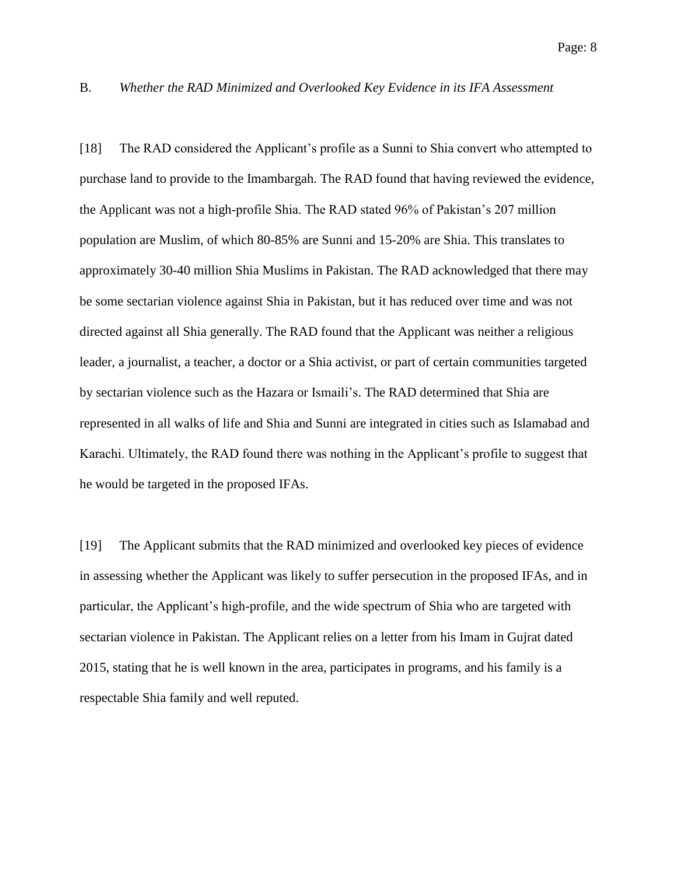### B. *Whether the RAD Minimized and Overlooked Key Evidence in its IFA Assessment*

[18] The RAD considered the Applicant's profile as a Sunni to Shia convert who attempted to purchase land to provide to the Imambargah. The RAD found that having reviewed the evidence, the Applicant was not a high-profile Shia. The RAD stated 96% of Pakistan's 207 million population are Muslim, of which 80-85% are Sunni and 15-20% are Shia. This translates to approximately 30-40 million Shia Muslims in Pakistan. The RAD acknowledged that there may be some sectarian violence against Shia in Pakistan, but it has reduced over time and was not directed against all Shia generally. The RAD found that the Applicant was neither a religious leader, a journalist, a teacher, a doctor or a Shia activist, or part of certain communities targeted by sectarian violence such as the Hazara or Ismaili's. The RAD determined that Shia are represented in all walks of life and Shia and Sunni are integrated in cities such as Islamabad and Karachi. Ultimately, the RAD found there was nothing in the Applicant's profile to suggest that he would be targeted in the proposed IFAs.

[19] The Applicant submits that the RAD minimized and overlooked key pieces of evidence in assessing whether the Applicant was likely to suffer persecution in the proposed IFAs, and in particular, the Applicant's high-profile, and the wide spectrum of Shia who are targeted with sectarian violence in Pakistan. The Applicant relies on a letter from his Imam in Gujrat dated 2015, stating that he is well known in the area, participates in programs, and his family is a respectable Shia family and well reputed.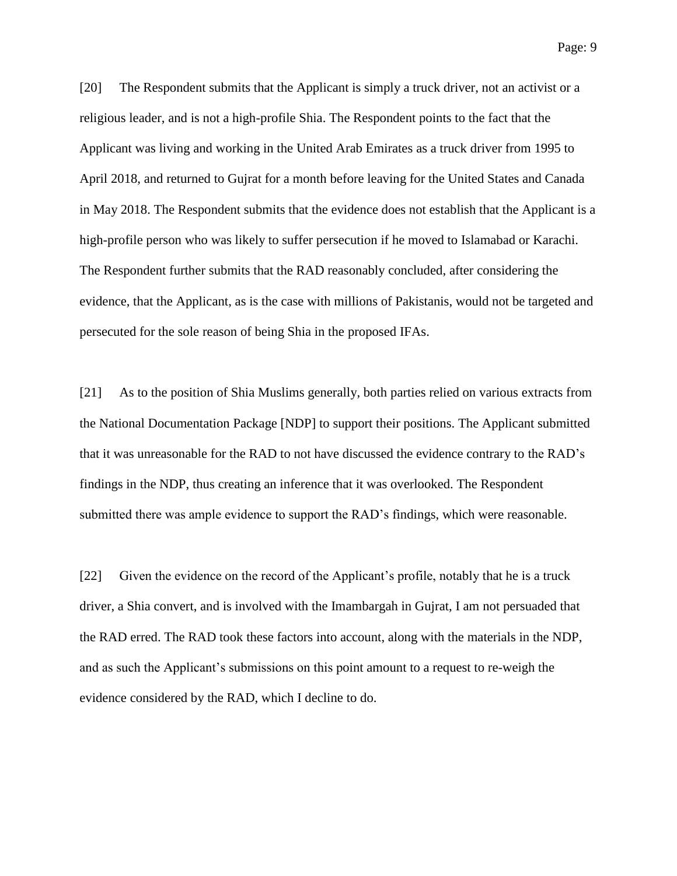[20] The Respondent submits that the Applicant is simply a truck driver, not an activist or a religious leader, and is not a high-profile Shia. The Respondent points to the fact that the Applicant was living and working in the United Arab Emirates as a truck driver from 1995 to April 2018, and returned to Gujrat for a month before leaving for the United States and Canada in May 2018. The Respondent submits that the evidence does not establish that the Applicant is a high-profile person who was likely to suffer persecution if he moved to Islamabad or Karachi. The Respondent further submits that the RAD reasonably concluded, after considering the evidence, that the Applicant, as is the case with millions of Pakistanis, would not be targeted and persecuted for the sole reason of being Shia in the proposed IFAs.

[21] As to the position of Shia Muslims generally, both parties relied on various extracts from the National Documentation Package [NDP] to support their positions. The Applicant submitted that it was unreasonable for the RAD to not have discussed the evidence contrary to the RAD's findings in the NDP, thus creating an inference that it was overlooked. The Respondent submitted there was ample evidence to support the RAD's findings, which were reasonable.

[22] Given the evidence on the record of the Applicant's profile, notably that he is a truck driver, a Shia convert, and is involved with the Imambargah in Gujrat, I am not persuaded that the RAD erred. The RAD took these factors into account, along with the materials in the NDP, and as such the Applicant's submissions on this point amount to a request to re-weigh the evidence considered by the RAD, which I decline to do.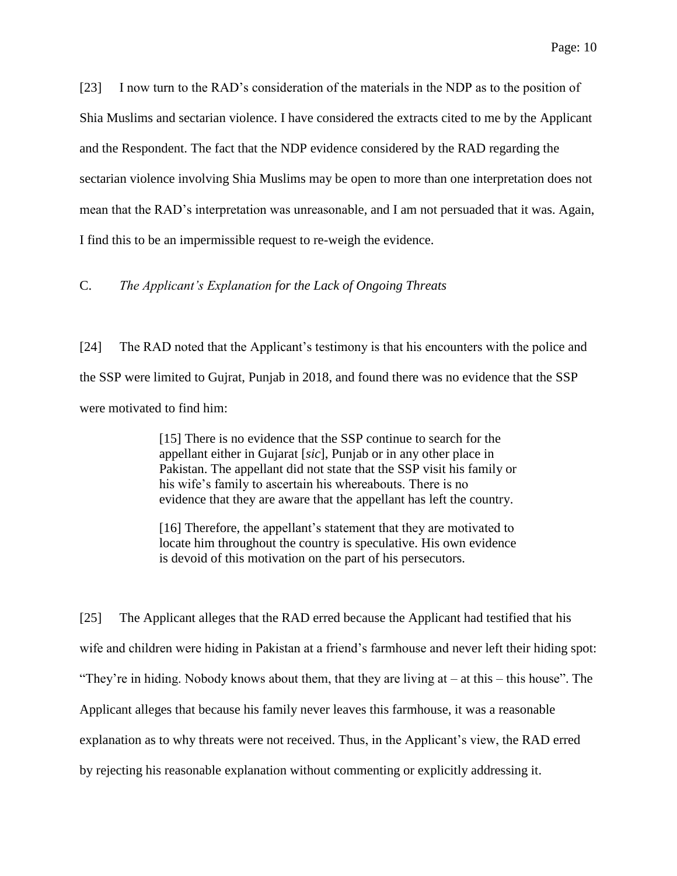[23] I now turn to the RAD's consideration of the materials in the NDP as to the position of Shia Muslims and sectarian violence. I have considered the extracts cited to me by the Applicant and the Respondent. The fact that the NDP evidence considered by the RAD regarding the sectarian violence involving Shia Muslims may be open to more than one interpretation does not mean that the RAD's interpretation was unreasonable, and I am not persuaded that it was. Again, I find this to be an impermissible request to re-weigh the evidence.

C. *The Applicant's Explanation for the Lack of Ongoing Threats*

[24] The RAD noted that the Applicant's testimony is that his encounters with the police and the SSP were limited to Gujrat, Punjab in 2018, and found there was no evidence that the SSP were motivated to find him:

> [15] There is no evidence that the SSP continue to search for the appellant either in Gujarat [*sic*], Punjab or in any other place in Pakistan. The appellant did not state that the SSP visit his family or his wife's family to ascertain his whereabouts. There is no evidence that they are aware that the appellant has left the country.

> [16] Therefore, the appellant's statement that they are motivated to locate him throughout the country is speculative. His own evidence is devoid of this motivation on the part of his persecutors.

[25] The Applicant alleges that the RAD erred because the Applicant had testified that his wife and children were hiding in Pakistan at a friend's farmhouse and never left their hiding spot: "They're in hiding. Nobody knows about them, that they are living  $at - at$  this – this house". The Applicant alleges that because his family never leaves this farmhouse, it was a reasonable explanation as to why threats were not received. Thus, in the Applicant's view, the RAD erred by rejecting his reasonable explanation without commenting or explicitly addressing it.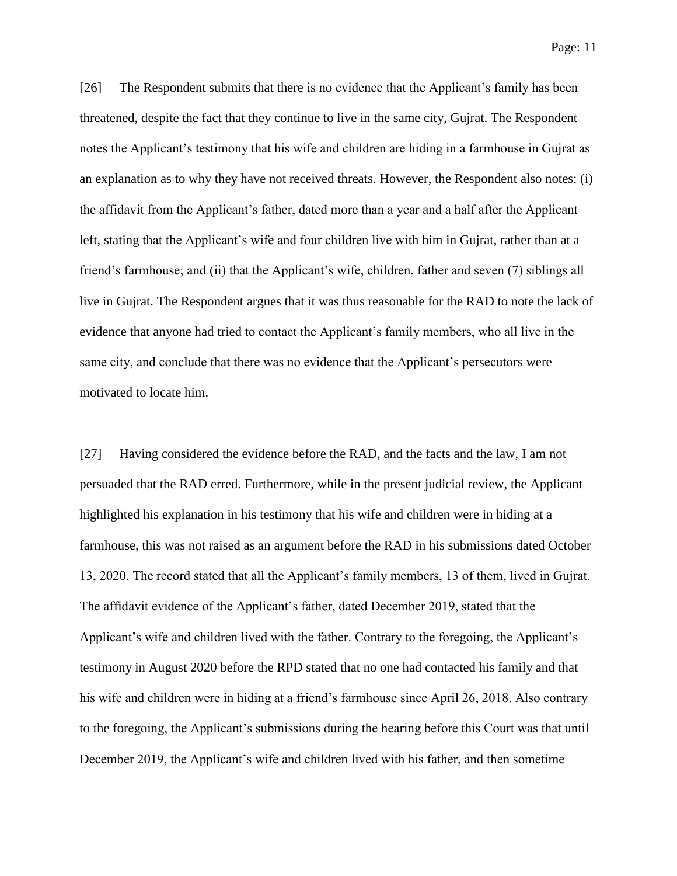Page: 11

[26] The Respondent submits that there is no evidence that the Applicant's family has been threatened, despite the fact that they continue to live in the same city, Gujrat. The Respondent notes the Applicant's testimony that his wife and children are hiding in a farmhouse in Gujrat as an explanation as to why they have not received threats. However, the Respondent also notes: (i) the affidavit from the Applicant's father, dated more than a year and a half after the Applicant left, stating that the Applicant's wife and four children live with him in Gujrat, rather than at a friend's farmhouse; and (ii) that the Applicant's wife, children, father and seven (7) siblings all live in Gujrat. The Respondent argues that it was thus reasonable for the RAD to note the lack of evidence that anyone had tried to contact the Applicant's family members, who all live in the same city, and conclude that there was no evidence that the Applicant's persecutors were motivated to locate him.

[27] Having considered the evidence before the RAD, and the facts and the law, I am not persuaded that the RAD erred. Furthermore, while in the present judicial review, the Applicant highlighted his explanation in his testimony that his wife and children were in hiding at a farmhouse, this was not raised as an argument before the RAD in his submissions dated October 13, 2020. The record stated that all the Applicant's family members, 13 of them, lived in Gujrat. The affidavit evidence of the Applicant's father, dated December 2019, stated that the Applicant's wife and children lived with the father. Contrary to the foregoing, the Applicant's testimony in August 2020 before the RPD stated that no one had contacted his family and that his wife and children were in hiding at a friend's farmhouse since April 26, 2018. Also contrary to the foregoing, the Applicant's submissions during the hearing before this Court was that until December 2019, the Applicant's wife and children lived with his father, and then sometime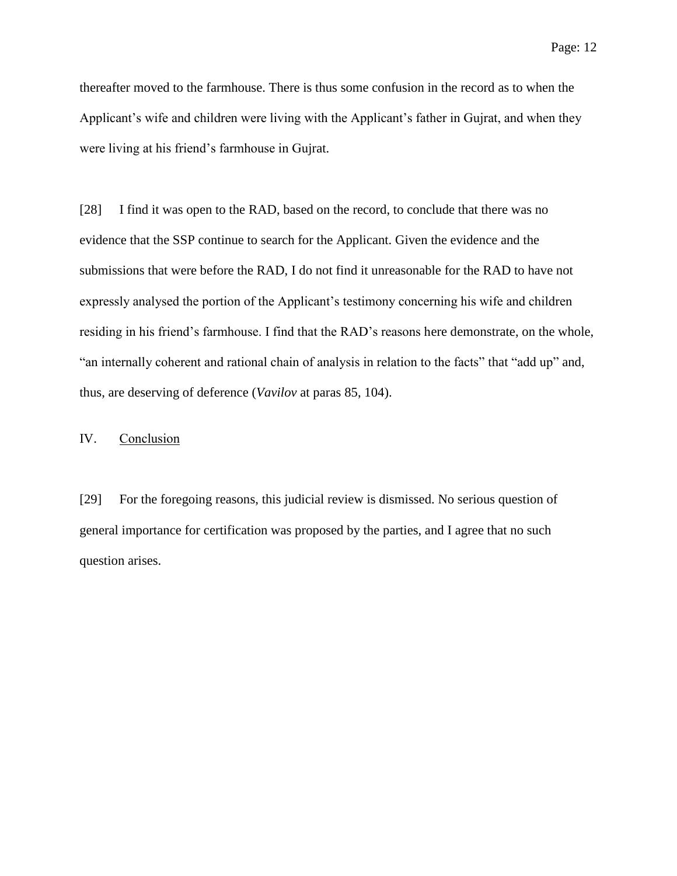thereafter moved to the farmhouse. There is thus some confusion in the record as to when the Applicant's wife and children were living with the Applicant's father in Gujrat, and when they were living at his friend's farmhouse in Gujrat.

[28] I find it was open to the RAD, based on the record, to conclude that there was no evidence that the SSP continue to search for the Applicant. Given the evidence and the submissions that were before the RAD, I do not find it unreasonable for the RAD to have not expressly analysed the portion of the Applicant's testimony concerning his wife and children residing in his friend's farmhouse. I find that the RAD's reasons here demonstrate, on the whole, "an internally coherent and rational chain of analysis in relation to the facts" that "add up" and, thus, are deserving of deference (*Vavilov* at paras 85, 104).

## IV. Conclusion

[29] For the foregoing reasons, this judicial review is dismissed. No serious question of general importance for certification was proposed by the parties, and I agree that no such question arises.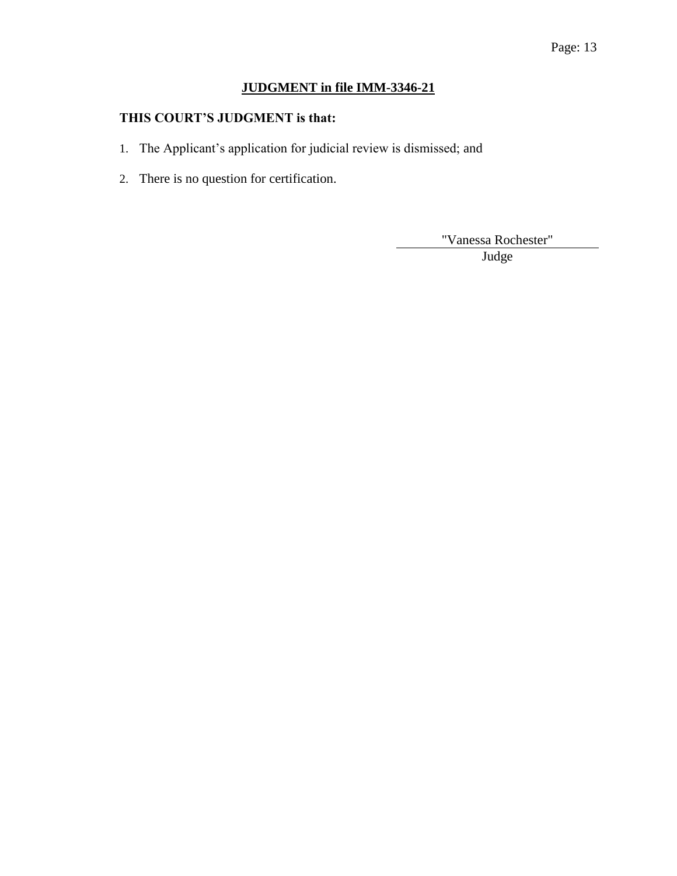# Page: 13

# **JUDGMENT in file IMM-3346-21**

# **THIS COURT'S JUDGMENT is that:**

- 1. The Applicant's application for judicial review is dismissed; and
- 2. There is no question for certification.

"Vanessa Rochester"

Judge